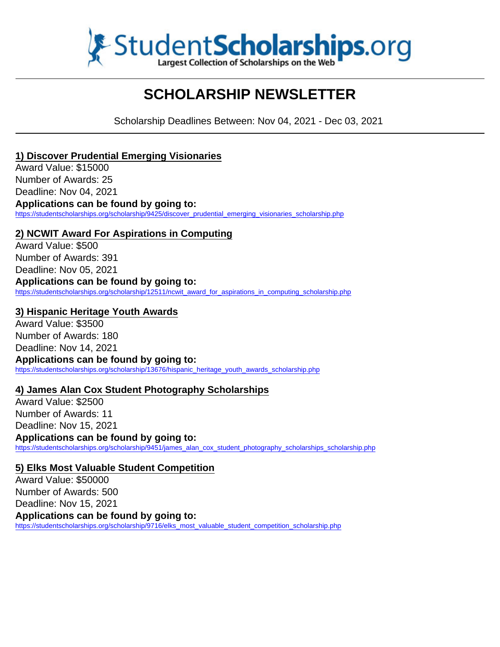

# **SCHOLARSHIP NEWSLETTER**

Scholarship Deadlines Between: Nov 04, 2021 - Dec 03, 2021

### **1) Discover Prudential Emerging Visionaries**

Award Value: \$15000 Number of Awards: 25 Deadline: Nov 04, 2021 **Applications can be found by going to:** https://studentscholarships.org/scholarship/9425/discover\_prudential\_emerging\_visionaries\_scholarship.php

### **2) NCWIT Award For Aspirations in Computing**

Award Value: \$500 Number of Awards: 391 Deadline: Nov 05, 2021 **Applications can be found by going to:** https://studentscholarships.org/scholarship/12511/ncwit\_award\_for\_aspirations\_in\_computing\_scholarship.php

### **3) Hispanic Heritage Youth Awards**

Award Value: \$3500 Number of Awards: 180 Deadline: Nov 14, 2021 **Applications can be found by going to:** https://studentscholarships.org/scholarship/13676/hispanic\_heritage\_youth\_awards\_scholarship.php

### **4) James Alan Cox Student Photography Scholarships**

Award Value: \$2500 Number of Awards: 11 Deadline: Nov 15, 2021

**Applications can be found by going to:** https://studentscholarships.org/scholarship/9451/james\_alan\_cox\_student\_photography\_scholarships\_scholarship.php

### **5) Elks Most Valuable Student Competition**

Award Value: \$50000 Number of Awards: 500 Deadline: Nov 15, 2021 **Applications can be found by going to:** https://studentscholarships.org/scholarship/9716/elks\_most\_valuable\_student\_competition\_scholarship.php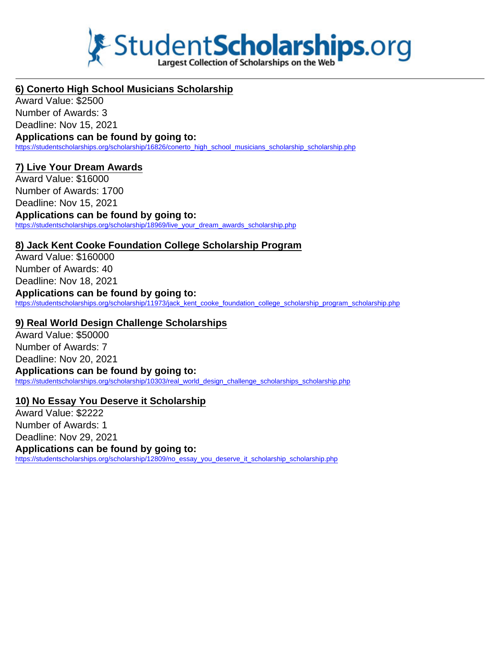

### **6) Conerto High School Musicians Scholarship**

Award Value: \$2500 Number of Awards: 3 Deadline: Nov 15, 2021

**Applications can be found by going to:** https://studentscholarships.org/scholarship/16826/conerto\_high\_school\_musicians\_scholarship\_scholarship.php

### **7) Live Your Dream Awards**

Award Value: \$16000 Number of Awards: 1700 Deadline: Nov 15, 2021 **Applications can be found by going to:** https://studentscholarships.org/scholarship/18969/live\_your\_dream\_awards\_scholarship.php

### **8) Jack Kent Cooke Foundation College Scholarship Program**

Award Value: \$160000 Number of Awards: 40 Deadline: Nov 18, 2021

### **Applications can be found by going to:**

https://studentscholarships.org/scholarship/11973/jack\_kent\_cooke\_foundation\_college\_scholarship\_program\_scholarship.php

#### **9) Real World Design Challenge Scholarships**

Award Value: \$50000 Number of Awards: 7 Deadline: Nov 20, 2021 **Applications can be found by going to:** https://studentscholarships.org/scholarship/10303/real\_world\_design\_challenge\_scholarships\_scholarship.php

### **10) No Essay You Deserve it Scholarship**

Award Value: \$2222 Number of Awards: 1 Deadline: Nov 29, 2021 **Applications can be found by going to:** https://studentscholarships.org/scholarship/12809/no\_essay\_you\_deserve\_it\_scholarship\_scholarship.php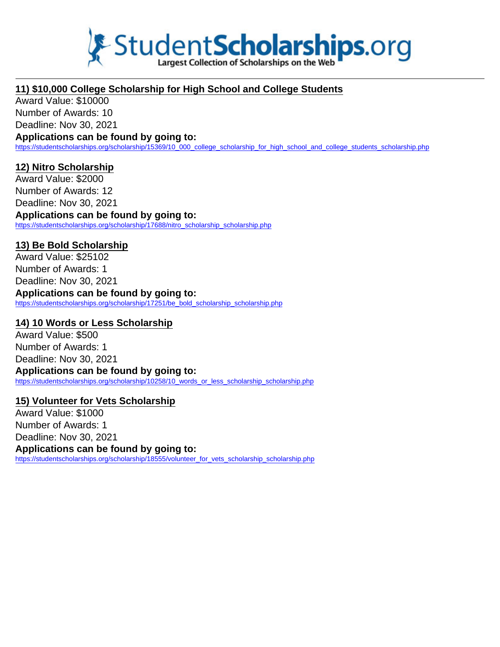

### **11) \$10,000 College Scholarship for High School and College Students**

Award Value: \$10000 Number of Awards: 10 Deadline: Nov 30, 2021

#### **Applications can be found by going to:**

https://studentscholarships.org/scholarship/15369/10\_000\_college\_scholarship\_for\_high\_school\_and\_college\_students\_scholarship.php

#### **12) Nitro Scholarship**

Award Value: \$2000 Number of Awards: 12 Deadline: Nov 30, 2021

**Applications can be found by going to:** https://studentscholarships.org/scholarship/17688/nitro\_scholarship\_scholarship.php

### **13) Be Bold Scholarship**

Award Value: \$25102 Number of Awards: 1 Deadline: Nov 30, 2021

## **Applications can be found by going to:**

https://studentscholarships.org/scholarship/17251/be\_bold\_scholarship\_scholarship.php

#### **14) 10 Words or Less Scholarship**

Award Value: \$500 Number of Awards: 1 Deadline: Nov 30, 2021 **Applications can be found by going to:** https://studentscholarships.org/scholarship/10258/10\_words\_or\_less\_scholarship\_scholarship.php

### **15) Volunteer for Vets Scholarship**

Award Value: \$1000 Number of Awards: 1 Deadline: Nov 30, 2021 **Applications can be found by going to:** https://studentscholarships.org/scholarship/18555/volunteer\_for\_vets\_scholarship\_scholarship.php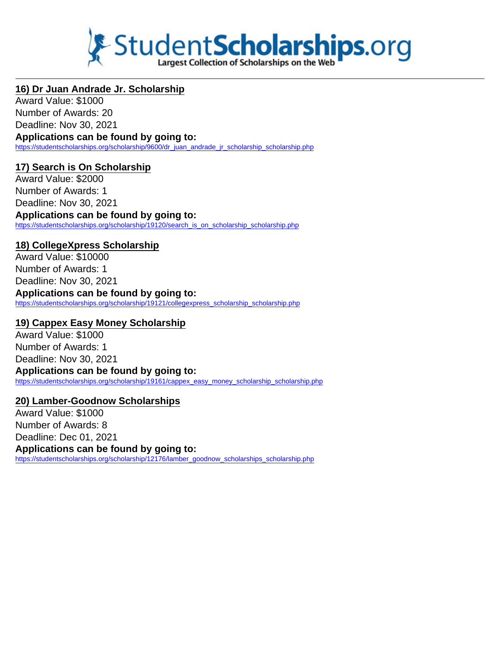

### **16) Dr Juan Andrade Jr. Scholarship**

Award Value: \$1000 Number of Awards: 20 Deadline: Nov 30, 2021

**Applications can be found by going to:** https://studentscholarships.org/scholarship/9600/dr\_juan\_andrade\_ir\_scholarship\_scholarship.php

### **17) Search is On Scholarship**

Award Value: \$2000 Number of Awards: 1 Deadline: Nov 30, 2021 **Applications can be found by going to:** https://studentscholarships.org/scholarship/19120/search\_is\_on\_scholarship\_scholarship.php

### **18) CollegeXpress Scholarship**

Award Value: \$10000 Number of Awards: 1 Deadline: Nov 30, 2021

**Applications can be found by going to:**

https://studentscholarships.org/scholarship/19121/collegexpress\_scholarship\_scholarship.php

### **19) Cappex Easy Money Scholarship**

Award Value: \$1000 Number of Awards: 1 Deadline: Nov 30, 2021 **Applications can be found by going to:** https://studentscholarships.org/scholarship/19161/cappex\_easy\_money\_scholarship\_scholarship.php

### **20) Lamber-Goodnow Scholarships**

Award Value: \$1000 Number of Awards: 8 Deadline: Dec 01, 2021 **Applications can be found by going to:** https://studentscholarships.org/scholarship/12176/lamber\_goodnow\_scholarships\_scholarship.php